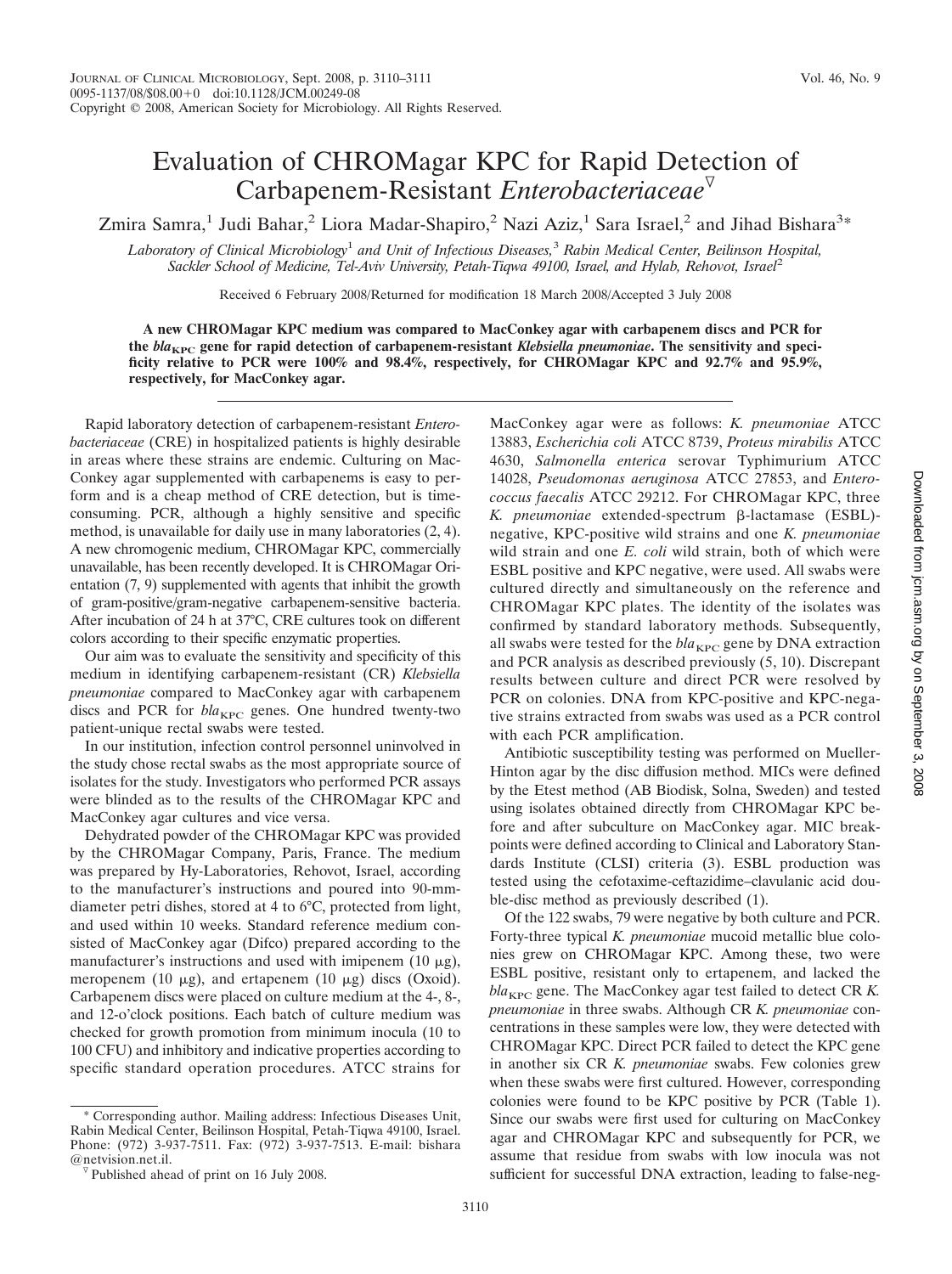## Evaluation of CHROMagar KPC for Rapid Detection of Carbapenem-Resistant *Enterobacteriaceae*

Zmira Samra,<sup>1</sup> Judi Bahar,<sup>2</sup> Liora Madar-Shapiro,<sup>2</sup> Nazi Aziz,<sup>1</sup> Sara Israel,<sup>2</sup> and Jihad Bishara<sup>3\*</sup>

*Laboratory of Clinical Microbiology*<sup>1</sup> *and Unit of Infectious Diseases,*<sup>3</sup> *Rabin Medical Center, Beilinson Hospital, Sackler School of Medicine, Tel-Aviv University, Petah-Tiqwa 49100, Israel, and Hylab, Rehovot, Israel*<sup>2</sup>

Received 6 February 2008/Returned for modification 18 March 2008/Accepted 3 July 2008

**A new CHROMagar KPC medium was compared to MacConkey agar with carbapenem discs and PCR for** the *bla*<sub>KPC</sub> gene for rapid detection of carbapenem-resistant *Klebsiella pneumoniae*. The sensitivity and speci**ficity relative to PCR were 100% and 98.4%, respectively, for CHROMagar KPC and 92.7% and 95.9%, respectively, for MacConkey agar.**

Rapid laboratory detection of carbapenem-resistant *Enterobacteriaceae* (CRE) in hospitalized patients is highly desirable in areas where these strains are endemic. Culturing on Mac-Conkey agar supplemented with carbapenems is easy to perform and is a cheap method of CRE detection, but is timeconsuming. PCR, although a highly sensitive and specific method, is unavailable for daily use in many laboratories (2, 4). A new chromogenic medium, CHROMagar KPC, commercially unavailable, has been recently developed. It is CHROMagar Orientation (7, 9) supplemented with agents that inhibit the growth of gram-positive/gram-negative carbapenem-sensitive bacteria. After incubation of 24 h at 37°C, CRE cultures took on different colors according to their specific enzymatic properties.

Our aim was to evaluate the sensitivity and specificity of this medium in identifying carbapenem-resistant (CR) *Klebsiella pneumoniae* compared to MacConkey agar with carbapenem discs and PCR for *bla*<sub>KPC</sub> genes. One hundred twenty-two patient-unique rectal swabs were tested.

In our institution, infection control personnel uninvolved in the study chose rectal swabs as the most appropriate source of isolates for the study. Investigators who performed PCR assays were blinded as to the results of the CHROMagar KPC and MacConkey agar cultures and vice versa.

Dehydrated powder of the CHROMagar KPC was provided by the CHROMagar Company, Paris, France. The medium was prepared by Hy-Laboratories, Rehovot, Israel, according to the manufacturer's instructions and poured into 90-mmdiameter petri dishes, stored at 4 to 6°C, protected from light, and used within 10 weeks. Standard reference medium consisted of MacConkey agar (Difco) prepared according to the manufacturer's instructions and used with imipenem  $(10 \mu g)$ , meropenem (10  $\mu$ g), and ertapenem (10  $\mu$ g) discs (Oxoid). Carbapenem discs were placed on culture medium at the 4-, 8-, and 12-o'clock positions. Each batch of culture medium was checked for growth promotion from minimum inocula (10 to 100 CFU) and inhibitory and indicative properties according to specific standard operation procedures. ATCC strains for

\* Corresponding author. Mailing address: Infectious Diseases Unit, Rabin Medical Center, Beilinson Hospital, Petah-Tiqwa 49100, Israel. Phone: (972) 3-937-7511. Fax: (972) 3-937-7513. E-mail: bishara

MacConkey agar were as follows: *K. pneumoniae* ATCC 13883, *Escherichia coli* ATCC 8739, *Proteus mirabilis* ATCC 4630, *Salmonella enterica* serovar Typhimurium ATCC 14028, *Pseudomonas aeruginosa* ATCC 27853, and *Enterococcus faecalis* ATCC 29212. For CHROMagar KPC, three K. pneumoniae extended-spectrum **B-lactamase** (ESBL)negative, KPC-positive wild strains and one *K. pneumoniae* wild strain and one *E. coli* wild strain, both of which were ESBL positive and KPC negative, were used. All swabs were cultured directly and simultaneously on the reference and CHROMagar KPC plates. The identity of the isolates was confirmed by standard laboratory methods. Subsequently, all swabs were tested for the  $bla_{KPC}$  gene by DNA extraction and PCR analysis as described previously (5, 10). Discrepant results between culture and direct PCR were resolved by PCR on colonies. DNA from KPC-positive and KPC-negative strains extracted from swabs was used as a PCR control with each PCR amplification.

Antibiotic susceptibility testing was performed on Mueller-Hinton agar by the disc diffusion method. MICs were defined by the Etest method (AB Biodisk, Solna, Sweden) and tested using isolates obtained directly from CHROMagar KPC before and after subculture on MacConkey agar. MIC breakpoints were defined according to Clinical and Laboratory Standards Institute (CLSI) criteria (3). ESBL production was tested using the cefotaxime-ceftazidime–clavulanic acid double-disc method as previously described (1).

Of the 122 swabs, 79 were negative by both culture and PCR. Forty-three typical *K. pneumoniae* mucoid metallic blue colonies grew on CHROMagar KPC. Among these, two were ESBL positive, resistant only to ertapenem, and lacked the  $bla_{KPC}$  gene. The MacConkey agar test failed to detect CR  $K$ . *pneumoniae* in three swabs. Although CR *K. pneumoniae* concentrations in these samples were low, they were detected with CHROMagar KPC. Direct PCR failed to detect the KPC gene in another six CR *K. pneumoniae* swabs. Few colonies grew when these swabs were first cultured. However, corresponding colonies were found to be KPC positive by PCR (Table 1). Since our swabs were first used for culturing on MacConkey agar and CHROMagar KPC and subsequently for PCR, we assume that residue from swabs with low inocula was not sufficient for successful DNA extraction, leading to false-neg-

Published ahead of print on 16 July 2008.